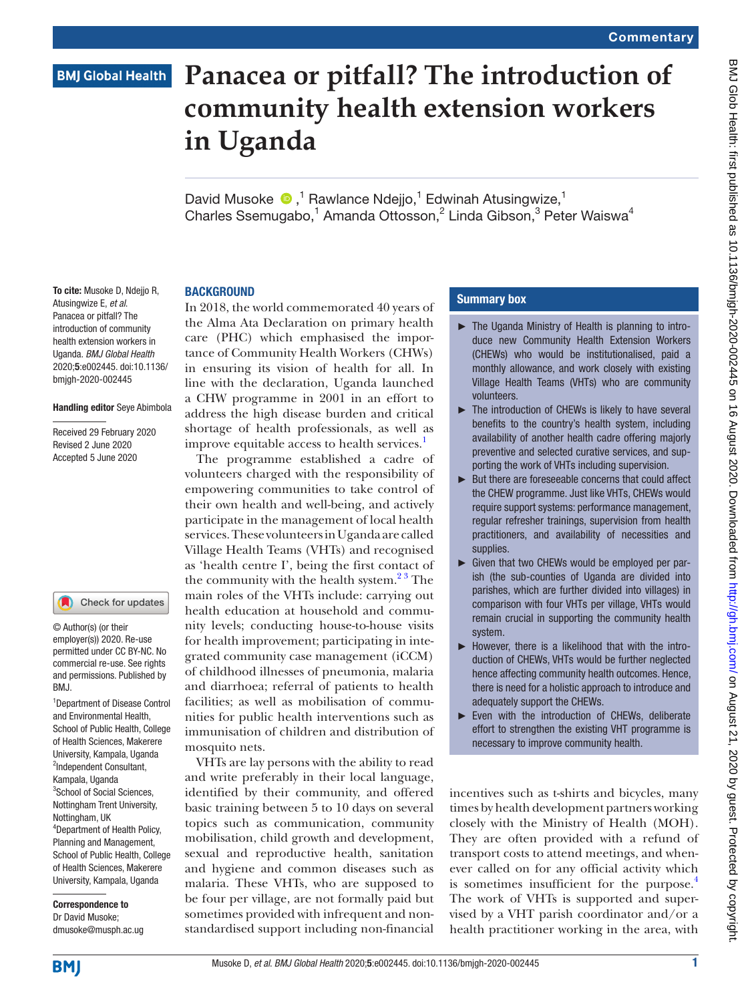# **BMJ Global Health**

# **Panacea or pitfall? The introduction of community health extension workers in Uganda**

David Musoke <sup>®</sup>,<sup>1</sup> Rawlance Ndejjo,<sup>1</sup> Edwinah Atusingwize,<sup>1</sup> Charles Ssemugabo,<sup>1</sup> Amanda Ottosson,<sup>2</sup> Linda Gibson,<sup>3</sup> Peter Waiswa<sup>4</sup>

# To cite: Musoke D, Ndejjo R,

Atusingwize E, *et al*. Panacea or pitfall? The introduction of community health extension workers in Uganda. *BMJ Global Health* 2020;5:e002445. doi:10.1136/ bmjgh-2020-002445

#### Handling editor Seye Abimbola

Received 29 February 2020 Revised 2 June 2020 Accepted 5 June 2020

# Check for updates

© Author(s) (or their employer(s)) 2020. Re-use permitted under CC BY-NC. No commercial re-use. See rights and permissions. Published by BMJ.

1 Department of Disease Control and Environmental Health, School of Public Health, College of Health Sciences, Makerere University, Kampala, Uganda <sup>2</sup>Independent Consultant, Kampala, Uganda 3 School of Social Sciences, Nottingham Trent University, Nottingham, UK 4 Department of Health Policy, Planning and Management, School of Public Health, College of Health Sciences, Makerere University, Kampala, Uganda

Correspondence to Dr David Musoke; dmusoke@musph.ac.ug

# **BACKGROUND**

In 2018, the world commemorated 40 years of the Alma Ata Declaration on primary health care (PHC) which emphasised the importance of Community Health Workers (CHWs) in ensuring its vision of health for all. In line with the declaration, Uganda launched a CHW programme in 2001 in an effort to address the high disease burden and critical shortage of health professionals, as well as improve equitable access to health services.<sup>[1](#page-3-0)</sup>

The programme established a cadre of volunteers charged with the responsibility of empowering communities to take control of their own health and well-being, and actively participate in the management of local health services. These volunteers in Uganda are called Village Health Teams (VHTs) and recognised as 'health centre I', being the first contact of the community with the health system.<sup>23</sup> The main roles of the VHTs include: carrying out health education at household and community levels; conducting house-to-house visits for health improvement; participating in integrated community case management (iCCM) of childhood illnesses of pneumonia, malaria and diarrhoea; referral of patients to health facilities; as well as mobilisation of communities for public health interventions such as immunisation of children and distribution of mosquito nets.

VHTs are lay persons with the ability to read and write preferably in their local language, identified by their community, and offered basic training between 5 to 10 days on several topics such as communication, community mobilisation, child growth and development, sexual and reproductive health, sanitation and hygiene and common diseases such as malaria. These VHTs, who are supposed to be four per village, are not formally paid but sometimes provided with infrequent and nonstandardised support including non-financial

## Summary box

- ► The Uganda Ministry of Health is planning to introduce new Community Health Extension Workers (CHEWs) who would be institutionalised, paid a monthly allowance, and work closely with existing Village Health Teams (VHTs) who are community volunteers.
- ► The introduction of CHEWs is likely to have several benefits to the country's health system, including availability of another health cadre offering majorly preventive and selected curative services, and supporting the work of VHTs including supervision.
- ► But there are foreseeable concerns that could affect the CHEW programme. Just like VHTs, CHEWs would require support systems: performance management, regular refresher trainings, supervision from health practitioners, and availability of necessities and supplies.
- ► Given that two CHEWs would be employed per parish (the sub-counties of Uganda are divided into parishes, which are further divided into villages) in comparison with four VHTs per village, VHTs would remain crucial in supporting the community health system.
- ► However, there is a likelihood that with the introduction of CHEWs, VHTs would be further neglected hence affecting community health outcomes. Hence, there is need for a holistic approach to introduce and adequately support the CHEWs.
- ► Even with the introduction of CHEWs, deliberate effort to strengthen the existing VHT programme is necessary to improve community health.

incentives such as t-shirts and bicycles, many times by health development partners working closely with the Ministry of Health (MOH). They are often provided with a refund of transport costs to attend meetings, and whenever called on for any official activity which is sometimes insufficient for the purpose.<sup>[4](#page-3-2)</sup> The work of VHTs is supported and supervised by a VHT parish coordinator and/or a health practitioner working in the area, with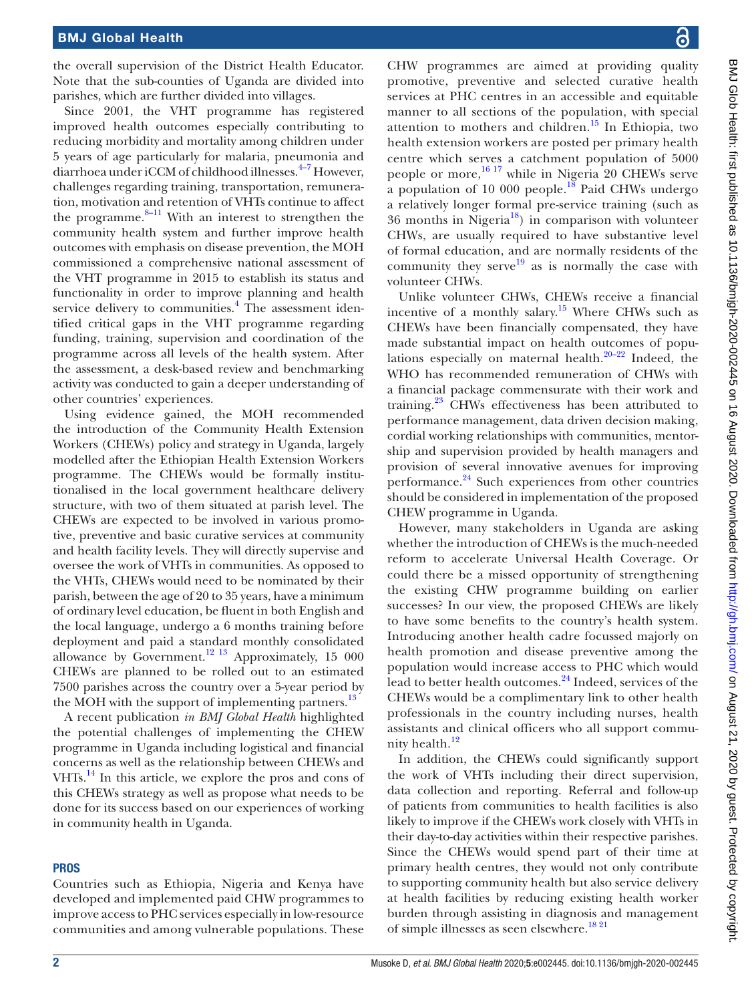the overall supervision of the District Health Educator. Note that the sub-counties of Uganda are divided into parishes, which are further divided into villages.

Since 2001, the VHT programme has registered improved health outcomes especially contributing to reducing morbidity and mortality among children under 5 years of age particularly for malaria, pneumonia and diarrhoea under iCCM of childhood illnesses. $4-7$  However, challenges regarding training, transportation, remuneration, motivation and retention of VHTs continue to affect the programme. $8-11$  With an interest to strengthen the community health system and further improve health outcomes with emphasis on disease prevention, the MOH commissioned a comprehensive national assessment of the VHT programme in 2015 to establish its status and functionality in order to improve planning and health service delivery to communities.<sup>[4](#page-3-2)</sup> The assessment identified critical gaps in the VHT programme regarding funding, training, supervision and coordination of the programme across all levels of the health system. After the assessment, a desk-based review and benchmarking activity was conducted to gain a deeper understanding of other countries' experiences.

Using evidence gained, the MOH recommended the introduction of the Community Health Extension Workers (CHEWs) policy and strategy in Uganda, largely modelled after the Ethiopian Health Extension Workers programme. The CHEWs would be formally institutionalised in the local government healthcare delivery structure, with two of them situated at parish level. The CHEWs are expected to be involved in various promotive, preventive and basic curative services at community and health facility levels. They will directly supervise and oversee the work of VHTs in communities. As opposed to the VHTs, CHEWs would need to be nominated by their parish, between the age of 20 to 35 years, have a minimum of ordinary level education, be fluent in both English and the local language, undergo a 6 months training before deployment and paid a standard monthly consolidated allowance by Government.<sup>[12 13](#page-3-4)</sup> Approximately, 15 000 CHEWs are planned to be rolled out to an estimated 7500 parishes across the country over a 5-year period by the MOH with the support of implementing partners.<sup>[13](#page-3-5)</sup>

A recent publication *in BMJ Global Health* highlighted the potential challenges of implementing the CHEW programme in Uganda including logistical and financial concerns as well as the relationship between CHEWs and  $VHTs.<sup>14</sup>$  In this article, we explore the pros and cons of this CHEWs strategy as well as propose what needs to be done for its success based on our experiences of working in community health in Uganda.

#### PROS

Countries such as Ethiopia, Nigeria and Kenya have developed and implemented paid CHW programmes to improve access to PHC services especially in low-resource communities and among vulnerable populations. These

CHW programmes are aimed at providing quality promotive, preventive and selected curative health services at PHC centres in an accessible and equitable manner to all sections of the population, with special attention to mothers and children.<sup>15</sup> In Ethiopia, two health extension workers are posted per primary health centre which serves a catchment population of 5000 people or more,[16 17](#page-3-8) while in Nigeria 20 CHEWs serve a population of 10 000 people.<sup>[18](#page-3-9)</sup> Paid CHWs undergo a relatively longer formal pre-service training (such as  $36$  months in Nigeria<sup>[18](#page-3-9)</sup>) in comparison with volunteer CHWs, are usually required to have substantive level of formal education, and are normally residents of the community they serve<sup>19</sup> as is normally the case with volunteer CHWs.

Unlike volunteer CHWs, CHEWs receive a financial incentive of a monthly salary.<sup>15</sup> Where CHWs such as CHEWs have been financially compensated, they have made substantial impact on health outcomes of populations especially on maternal health.[20–22](#page-3-11) Indeed, the WHO has recommended remuneration of CHWs with a financial package commensurate with their work and training.[23](#page-3-12) CHWs effectiveness has been attributed to performance management, data driven decision making, cordial working relationships with communities, mentorship and supervision provided by health managers and provision of several innovative avenues for improving performance.<sup>24</sup> Such experiences from other countries should be considered in implementation of the proposed CHEW programme in Uganda.

However, many stakeholders in Uganda are asking whether the introduction of CHEWs is the much-needed reform to accelerate Universal Health Coverage. Or could there be a missed opportunity of strengthening the existing CHW programme building on earlier successes? In our view, the proposed CHEWs are likely to have some benefits to the country's health system. Introducing another health cadre focussed majorly on health promotion and disease preventive among the population would increase access to PHC which would lead to better health outcomes.<sup>24</sup> Indeed, services of the CHEWs would be a complimentary link to other health professionals in the country including nurses, health assistants and clinical officers who all support commu-nity health.<sup>[12](#page-3-4)</sup>

In addition, the CHEWs could significantly support the work of VHTs including their direct supervision, data collection and reporting. Referral and follow-up of patients from communities to health facilities is also likely to improve if the CHEWs work closely with VHTs in their day-to-day activities within their respective parishes. Since the CHEWs would spend part of their time at primary health centres, they would not only contribute to supporting community health but also service delivery at health facilities by reducing existing health worker burden through assisting in diagnosis and management of simple illnesses as seen elsewhere.<sup>[18 21](#page-3-9)</sup>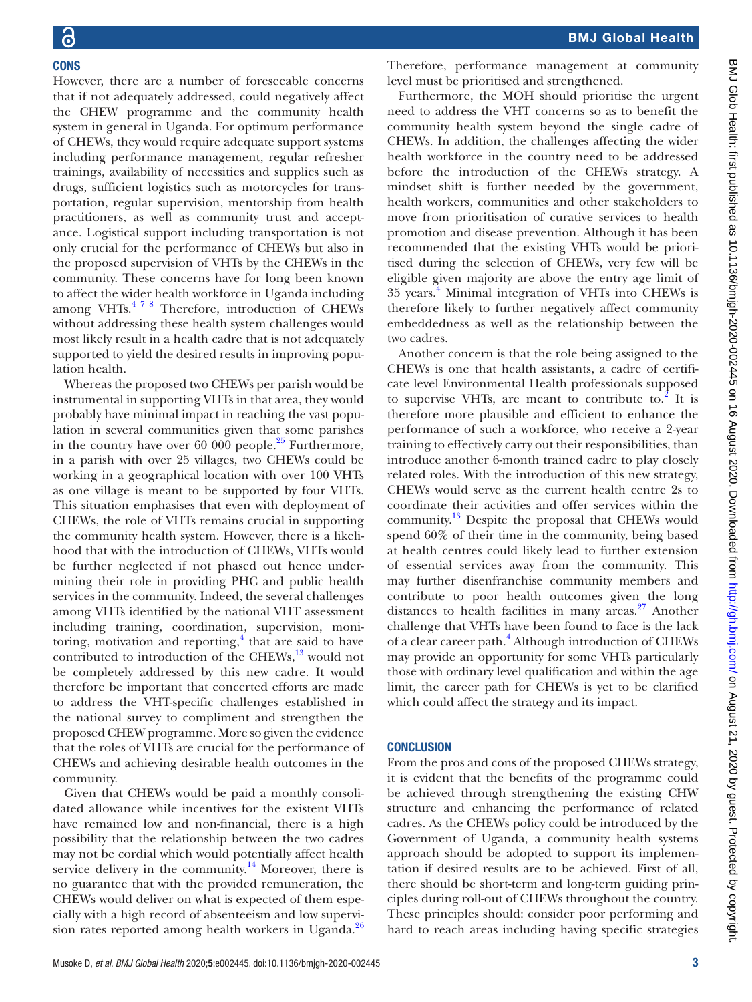#### **CONS**

However, there are a number of foreseeable concerns that if not adequately addressed, could negatively affect the CHEW programme and the community health system in general in Uganda. For optimum performance of CHEWs, they would require adequate support systems including performance management, regular refresher trainings, availability of necessities and supplies such as drugs, sufficient logistics such as motorcycles for transportation, regular supervision, mentorship from health practitioners, as well as community trust and acceptance. Logistical support including transportation is not only crucial for the performance of CHEWs but also in the proposed supervision of VHTs by the CHEWs in the community. These concerns have for long been known to affect the wider health workforce in Uganda including among VHTs[.4 7 8](#page-3-2) Therefore, introduction of CHEWs without addressing these health system challenges would most likely result in a health cadre that is not adequately supported to yield the desired results in improving population health.

Whereas the proposed two CHEWs per parish would be instrumental in supporting VHTs in that area, they would probably have minimal impact in reaching the vast population in several communities given that some parishes in the country have over 60 000 people. $^{25}$  Furthermore, in a parish with over 25 villages, two CHEWs could be working in a geographical location with over 100 VHTs as one village is meant to be supported by four VHTs. This situation emphasises that even with deployment of CHEWs, the role of VHTs remains crucial in supporting the community health system. However, there is a likelihood that with the introduction of CHEWs, VHTs would be further neglected if not phased out hence undermining their role in providing PHC and public health services in the community. Indeed, the several challenges among VHTs identified by the national VHT assessment including training, coordination, supervision, moni-toring, motivation and reporting,<sup>[4](#page-3-2)</sup> that are said to have contributed to introduction of the CHEWs, $^{13}$  would not be completely addressed by this new cadre. It would therefore be important that concerted efforts are made to address the VHT-specific challenges established in the national survey to compliment and strengthen the proposed CHEW programme. More so given the evidence that the roles of VHTs are crucial for the performance of CHEWs and achieving desirable health outcomes in the community.

Given that CHEWs would be paid a monthly consolidated allowance while incentives for the existent VHTs have remained low and non-financial, there is a high possibility that the relationship between the two cadres may not be cordial which would potentially affect health service delivery in the community.<sup>14</sup> Moreover, there is no guarantee that with the provided remuneration, the CHEWs would deliver on what is expected of them especially with a high record of absenteeism and low supervision rates reported among health workers in Uganda.<sup>26</sup>

Therefore, performance management at community level must be prioritised and strengthened.

Furthermore, the MOH should prioritise the urgent need to address the VHT concerns so as to benefit the community health system beyond the single cadre of CHEWs. In addition, the challenges affecting the wider health workforce in the country need to be addressed before the introduction of the CHEWs strategy. A mindset shift is further needed by the government, health workers, communities and other stakeholders to move from prioritisation of curative services to health promotion and disease prevention. Although it has been recommended that the existing VHTs would be prioritised during the selection of CHEWs, very few will be eligible given majority are above the entry age limit of 35 years.[4](#page-3-2) Minimal integration of VHTs into CHEWs is therefore likely to further negatively affect community embeddedness as well as the relationship between the two cadres.

Another concern is that the role being assigned to the CHEWs is one that health assistants, a cadre of certificate level Environmental Health professionals supposed to supervise VHTs, are meant to contribute to. $2 \text{ It}$  $2 \text{ It}$  is therefore more plausible and efficient to enhance the performance of such a workforce, who receive a 2-year training to effectively carry out their responsibilities, than introduce another 6-month trained cadre to play closely related roles. With the introduction of this new strategy, CHEWs would serve as the current health centre 2s to coordinate their activities and offer services within the community.[13](#page-3-5) Despite the proposal that CHEWs would spend 60% of their time in the community, being based at health centres could likely lead to further extension of essential services away from the community. This may further disenfranchise community members and contribute to poor health outcomes given the long distances to health facilities in many areas. $27$  Another challenge that VHTs have been found to face is the lack of a clear career path.<sup>[4](#page-3-2)</sup> Although introduction of CHEWs may provide an opportunity for some VHTs particularly those with ordinary level qualification and within the age limit, the career path for CHEWs is yet to be clarified which could affect the strategy and its impact.

## **CONCLUSION**

From the pros and cons of the proposed CHEWs strategy, it is evident that the benefits of the programme could be achieved through strengthening the existing CHW structure and enhancing the performance of related cadres. As the CHEWs policy could be introduced by the Government of Uganda, a community health systems approach should be adopted to support its implementation if desired results are to be achieved. First of all, there should be short-term and long-term guiding principles during roll-out of CHEWs throughout the country. These principles should: consider poor performing and hard to reach areas including having specific strategies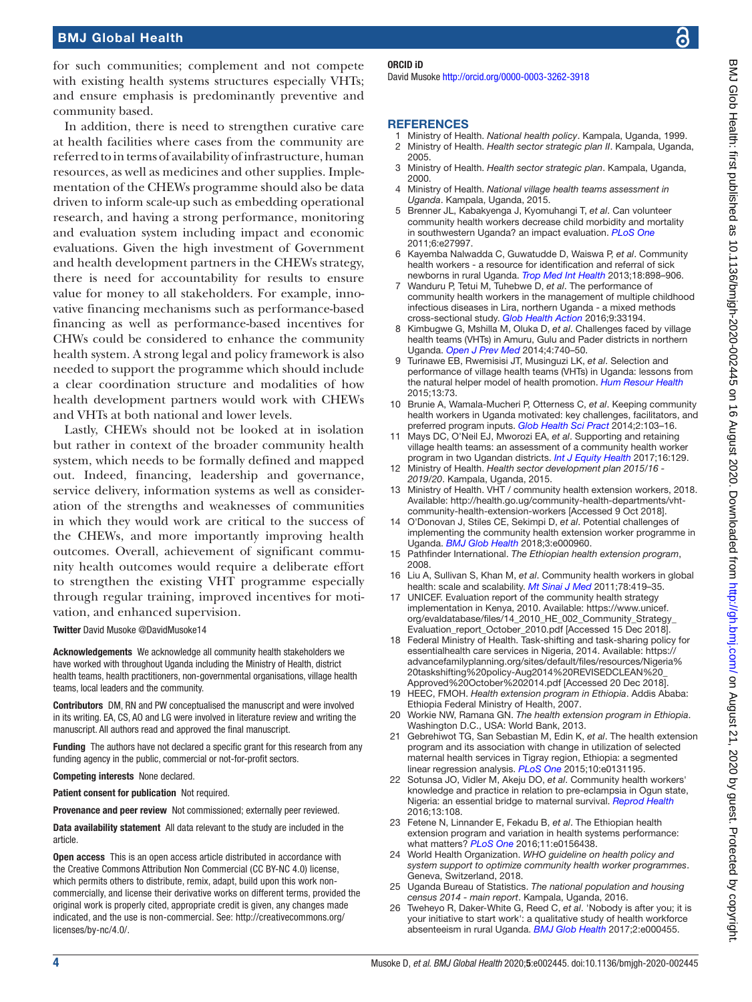# BMJ Global Health

for such communities; complement and not compete with existing health systems structures especially VHTs; and ensure emphasis is predominantly preventive and community based.

In addition, there is need to strengthen curative care at health facilities where cases from the community are referred to in terms of availability of infrastructure, human resources, as well as medicines and other supplies. Implementation of the CHEWs programme should also be data driven to inform scale-up such as embedding operational research, and having a strong performance, monitoring and evaluation system including impact and economic evaluations. Given the high investment of Government and health development partners in the CHEWs strategy, there is need for accountability for results to ensure value for money to all stakeholders. For example, innovative financing mechanisms such as performance-based financing as well as performance-based incentives for CHWs could be considered to enhance the community health system. A strong legal and policy framework is also needed to support the programme which should include a clear coordination structure and modalities of how health development partners would work with CHEWs and VHTs at both national and lower levels.

Lastly, CHEWs should not be looked at in isolation but rather in context of the broader community health system, which needs to be formally defined and mapped out. Indeed, financing, leadership and governance, service delivery, information systems as well as consideration of the strengths and weaknesses of communities in which they would work are critical to the success of the CHEWs, and more importantly improving health outcomes. Overall, achievement of significant community health outcomes would require a deliberate effort to strengthen the existing VHT programme especially through regular training, improved incentives for motivation, and enhanced supervision.

Twitter David Musoke [@DavidMusoke14](https://twitter.com/DavidMusoke14)

Acknowledgements We acknowledge all community health stakeholders we have worked with throughout Uganda including the Ministry of Health, district health teams, health practitioners, non-governmental organisations, village health teams, local leaders and the community.

Contributors DM, RN and PW conceptualised the manuscript and were involved in its writing. EA, CS, AO and LG were involved in literature review and writing the manuscript. All authors read and approved the final manuscript.

Funding The authors have not declared a specific grant for this research from any funding agency in the public, commercial or not-for-profit sectors.

Competing interests None declared.

Patient consent for publication Not required.

Provenance and peer review Not commissioned; externally peer reviewed.

Data availability statement All data relevant to the study are included in the article.

Open access This is an open access article distributed in accordance with the Creative Commons Attribution Non Commercial (CC BY-NC 4.0) license, which permits others to distribute, remix, adapt, build upon this work noncommercially, and license their derivative works on different terms, provided the original work is properly cited, appropriate credit is given, any changes made indicated, and the use is non-commercial. See: [http://creativecommons.org/](http://creativecommons.org/licenses/by-nc/4.0/) [licenses/by-nc/4.0/.](http://creativecommons.org/licenses/by-nc/4.0/)

#### ORCID iD

David Musoke <http://orcid.org/0000-0003-3262-3918>

#### **REFERENCES**

- <span id="page-3-0"></span>1 Ministry of Health. *National health policy*. Kampala, Uganda, 1999.
- <span id="page-3-1"></span>2 Ministry of Health. *Health sector strategic plan II*. Kampala, Uganda, 2005.
- 3 Ministry of Health. *Health sector strategic plan*. Kampala, Uganda, 2000.
- <span id="page-3-2"></span>4 Ministry of Health. *National village health teams assessment in Uganda*. Kampala, Uganda, 2015.
- 5 Brenner JL, Kabakyenga J, Kyomuhangi T, *et al*. Can volunteer community health workers decrease child morbidity and mortality in southwestern Uganda? an impact evaluation. *[PLoS One](http://dx.doi.org/10.1371/journal.pone.0027997)* 2011;6:e27997.
- 6 Kayemba Nalwadda C, Guwatudde D, Waiswa P, *et al*. Community health workers - a resource for identification and referral of sick newborns in rural Uganda. *[Trop Med Int Health](http://dx.doi.org/10.1111/tmi.12106)* 2013;18:898–906.
- 7 Wanduru P, Tetui M, Tuhebwe D, *et al*. The performance of community health workers in the management of multiple childhood infectious diseases in Lira, northern Uganda - a mixed methods cross-sectional study. *[Glob Health Action](http://dx.doi.org/10.3402/gha.v9.33194)* 2016;9:33194.
- <span id="page-3-3"></span>8 Kimbugwe G, Mshilla M, Oluka D, *et al*. Challenges faced by village health teams (VHTs) in Amuru, Gulu and Pader districts in northern Uganda. *[Open J Prev Med](http://dx.doi.org/10.4236/ojpm.2014.49084)* 2014;4:740–50.
- 9 Turinawe EB, Rwemisisi JT, Musinguzi LK, *et al*. Selection and performance of village health teams (VHTs) in Uganda: lessons from the natural helper model of health promotion. *[Hum Resour Health](http://dx.doi.org/10.1186/s12960-015-0074-7)* 2015;13:73.
- 10 Brunie A, Wamala-Mucheri P, Otterness C, *et al*. Keeping community health workers in Uganda motivated: key challenges, facilitators, and preferred program inputs. *[Glob Health Sci Pract](http://dx.doi.org/10.9745/GHSP-D-13-00140)* 2014;2:103–16.
- 11 Mays DC, O'Neil EJ, Mworozi EA, *et al*. Supporting and retaining village health teams: an assessment of a community health worker program in two Ugandan districts. *[Int J Equity Health](http://dx.doi.org/10.1186/s12939-017-0619-6)* 2017;16:129.
- <span id="page-3-4"></span>12 Ministry of Health. *Health sector development plan 2015/16 - 2019/20*. Kampala, Uganda, 2015.
- <span id="page-3-5"></span>13 Ministry of Health. VHT / community health extension workers, 2018. Available: [http://health.go.ug/community-health-departments/vht](http://health.go.ug/community-health-departments/vht-community-health-extension-workers)[community-health-extension-workers](http://health.go.ug/community-health-departments/vht-community-health-extension-workers) [Accessed 9 Oct 2018].
- <span id="page-3-6"></span>14 O'Donovan J, Stiles CE, Sekimpi D, *et al*. Potential challenges of implementing the community health extension worker programme in Uganda. *[BMJ Glob Health](http://dx.doi.org/10.1136/bmjgh-2018-000960)* 2018;3:e000960.
- <span id="page-3-7"></span>15 Pathfinder International. *The Ethiopian health extension program*, 2008.
- <span id="page-3-8"></span>16 Liu A, Sullivan S, Khan M, *et al*. Community health workers in global health: scale and scalability. *[Mt Sinai J Med](http://dx.doi.org/10.1002/msj.20260)* 2011;78:419–35.
- 17 UNICEF. Evaluation report of the community health strategy implementation in Kenya, 2010. Available: [https://www.unicef.](https://www.unicef.org/evaldatabase/files/14_2010_HE_002_Community_Strategy_Evaluation_report_October_2010.pdf) [org/evaldatabase/files/14\\_2010\\_HE\\_002\\_Community\\_Strategy\\_](https://www.unicef.org/evaldatabase/files/14_2010_HE_002_Community_Strategy_Evaluation_report_October_2010.pdf) [Evaluation\\_report\\_October\\_2010.pdf](https://www.unicef.org/evaldatabase/files/14_2010_HE_002_Community_Strategy_Evaluation_report_October_2010.pdf) [Accessed 15 Dec 2018].
- <span id="page-3-9"></span>18 Federal Ministry of Health. Task-shifting and task-sharing policy for essentialhealth care services in Nigeria, 2014. Available: [https://](https://advancefamilyplanning.org/sites/default/files/resources/Nigeria%20taskshifting%20policy-Aug2014%20REVISEDCLEAN%20_Approved%20October%202014.pdf) [advancefamilyplanning.org/sites/default/files/resources/Nigeria%](https://advancefamilyplanning.org/sites/default/files/resources/Nigeria%20taskshifting%20policy-Aug2014%20REVISEDCLEAN%20_Approved%20October%202014.pdf) [20taskshifting%20policy-Aug2014%20REVISEDCLEAN%20\\_](https://advancefamilyplanning.org/sites/default/files/resources/Nigeria%20taskshifting%20policy-Aug2014%20REVISEDCLEAN%20_Approved%20October%202014.pdf) [Approved%20October%202014.pdf](https://advancefamilyplanning.org/sites/default/files/resources/Nigeria%20taskshifting%20policy-Aug2014%20REVISEDCLEAN%20_Approved%20October%202014.pdf) [Accessed 20 Dec 2018].
- <span id="page-3-10"></span>19 HEEC, FMOH. *Health extension program in Ethiopia*. Addis Ababa: Ethiopia Federal Ministry of Health, 2007.
- <span id="page-3-11"></span>20 Workie NW, Ramana GN. *The health extension program in Ethiopia*. Washington D.C., USA: World Bank, 2013.
- 21 Gebrehiwot TG, San Sebastian M, Edin K, *et al*. The health extension program and its association with change in utilization of selected maternal health services in Tigray region, Ethiopia: a segmented linear regression analysis. *[PLoS One](http://dx.doi.org/10.1371/journal.pone.0131195)* 2015;10:e0131195.
- 22 Sotunsa JO, Vidler M, Akeju DO, *et al*. Community health workers' knowledge and practice in relation to pre-eclampsia in Ogun state, Nigeria: an essential bridge to maternal survival. *[Reprod Health](http://dx.doi.org/10.1186/s12978-016-0218-9)* 2016;13:108.
- <span id="page-3-12"></span>23 Fetene N, Linnander E, Fekadu B, *et al*. The Ethiopian health extension program and variation in health systems performance: what matters? *[PLoS One](http://dx.doi.org/10.1371/journal.pone.0156438)* 2016;11:e0156438.
- <span id="page-3-13"></span>24 World Health Organization. *WHO guideline on health policy and system support to optimize community health worker programmes*. Geneva, Switzerland, 2018.
- <span id="page-3-14"></span>25 Uganda Bureau of Statistics. *The national population and housing census 2014 - main report*. Kampala, Uganda, 2016.
- <span id="page-3-15"></span>26 Tweheyo R, Daker-White G, Reed C, *et al*. 'Nobody is after you; it is your initiative to start work': a qualitative study of health workforce absenteeism in rural Uganda. *[BMJ Glob Health](http://dx.doi.org/10.1136/bmjgh-2017-000455)* 2017;2:e000455.